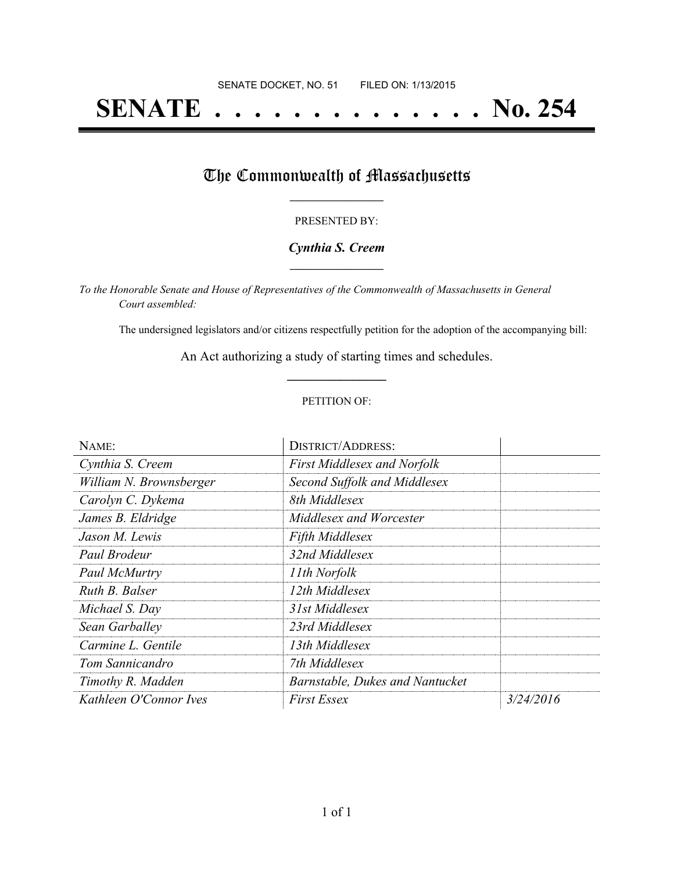# **SENATE . . . . . . . . . . . . . . No. 254**

## The Commonwealth of Massachusetts

#### PRESENTED BY:

#### *Cynthia S. Creem* **\_\_\_\_\_\_\_\_\_\_\_\_\_\_\_\_\_**

*To the Honorable Senate and House of Representatives of the Commonwealth of Massachusetts in General Court assembled:*

The undersigned legislators and/or citizens respectfully petition for the adoption of the accompanying bill:

An Act authorizing a study of starting times and schedules. **\_\_\_\_\_\_\_\_\_\_\_\_\_\_\_**

#### PETITION OF:

| NAME:                   | <b>DISTRICT/ADDRESS:</b>           |           |
|-------------------------|------------------------------------|-----------|
| Cynthia S. Creem        | <b>First Middlesex and Norfolk</b> |           |
| William N. Brownsberger | Second Suffolk and Middlesex       |           |
| Carolyn C. Dykema       | 8th Middlesex                      |           |
| James B. Eldridge       | Middlesex and Worcester            |           |
| Jason M. Lewis          | <b>Fifth Middlesex</b>             |           |
| Paul Brodeur            | 32nd Middlesex                     |           |
| Paul McMurtry           | 11th Norfolk                       |           |
| Ruth B. Balser          | 12th Middlesex                     |           |
| Michael S. Day          | 31st Middlesex                     |           |
| Sean Garballey          | 23rd Middlesex                     |           |
| Carmine L. Gentile      | 13th Middlesex                     |           |
| Tom Sannicandro         | 7th Middlesex                      |           |
| Timothy R. Madden       | Barnstable, Dukes and Nantucket    |           |
| Kathleen O'Connor Ives  | <i>First Essex</i>                 | 3/24/2016 |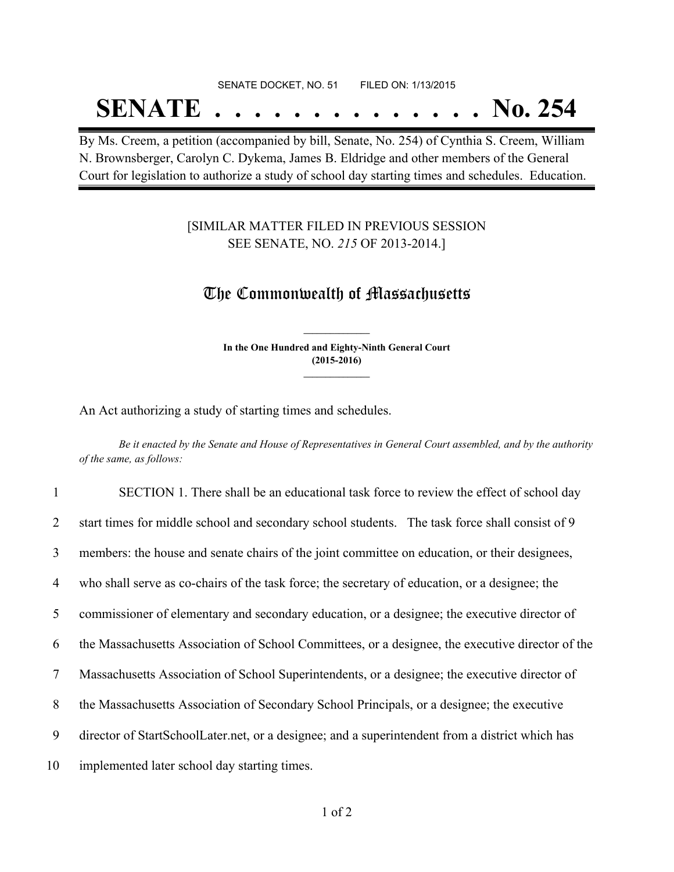## SENATE DOCKET, NO. 51 FILED ON: 1/13/2015

# **SENATE . . . . . . . . . . . . . . No. 254**

By Ms. Creem, a petition (accompanied by bill, Senate, No. 254) of Cynthia S. Creem, William N. Brownsberger, Carolyn C. Dykema, James B. Eldridge and other members of the General Court for legislation to authorize a study of school day starting times and schedules. Education.

### [SIMILAR MATTER FILED IN PREVIOUS SESSION SEE SENATE, NO. *215* OF 2013-2014.]

### The Commonwealth of Massachusetts

**In the One Hundred and Eighty-Ninth General Court (2015-2016) \_\_\_\_\_\_\_\_\_\_\_\_\_\_\_**

**\_\_\_\_\_\_\_\_\_\_\_\_\_\_\_**

An Act authorizing a study of starting times and schedules.

Be it enacted by the Senate and House of Representatives in General Court assembled, and by the authority *of the same, as follows:*

 SECTION 1. There shall be an educational task force to review the effect of school day 2 start times for middle school and secondary school students. The task force shall consist of 9 members: the house and senate chairs of the joint committee on education, or their designees, who shall serve as co-chairs of the task force; the secretary of education, or a designee; the commissioner of elementary and secondary education, or a designee; the executive director of the Massachusetts Association of School Committees, or a designee, the executive director of the Massachusetts Association of School Superintendents, or a designee; the executive director of the Massachusetts Association of Secondary School Principals, or a designee; the executive director of StartSchoolLater.net, or a designee; and a superintendent from a district which has implemented later school day starting times.